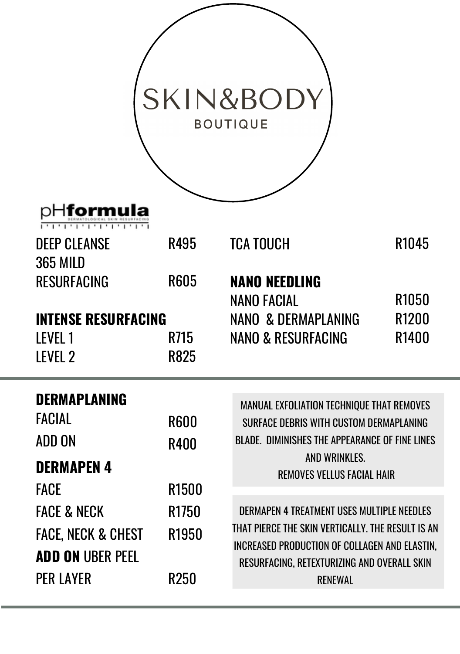|                                                                                                 |                                     | <b>SKIN&amp;BODY</b><br><b>BOUTIQUE</b>                                                                                                                                                                          |              |
|-------------------------------------------------------------------------------------------------|-------------------------------------|------------------------------------------------------------------------------------------------------------------------------------------------------------------------------------------------------------------|--------------|
| oHformula                                                                                       |                                     |                                                                                                                                                                                                                  |              |
| <b>DEEP CLEANSE</b>                                                                             | R495                                | <b>TCA TOUCH</b>                                                                                                                                                                                                 | R1045        |
| 365 MILD<br>RESURFACING                                                                         | <b>R605</b>                         | <b>NANO NFFDLING</b><br>NANO FACIAL                                                                                                                                                                              | R1050        |
| <b>INTENSE RESURFACING</b>                                                                      |                                     | NANO & DERMAPI ANING                                                                                                                                                                                             | <b>R1200</b> |
| IFVFI <sub>1</sub><br>IFVFI <sub>2</sub>                                                        | R715<br><b>R825</b>                 | NANO & RESURFACING                                                                                                                                                                                               | R1400        |
| <b>DERMAPLANING</b><br><b>FACIAL</b><br>ADD ON<br><b>DERMAPEN 4</b><br><b>FACE</b>              | <b>R600</b><br>R400<br><b>R1500</b> | MANUAL EXFOLIATION TECHNIQUE THAT REMOVES<br>SURFACE DERRIS WITH CUSTOM DERMAPLANING<br>READE, DIMINISHES THE APPEARANCE OF FINE LINES.<br>23 DON BW GALL<br>REMOVES VELUS FACULI HAIR                           |              |
| <b>FACE &amp; NECK</b><br><b>FACE. NECK &amp; CHEST</b><br>ADD ON URFR PFFL<br><b>PER LAYER</b> | R1750<br>R1950<br>R250              | DERMAPEN 4 TREATMENT USES MILITIPLE NEEDLES<br>THAT PIFRCE THE SKIN VERTICALLY. THE RESULT IS AN<br>INCREASED PRODUCTION OF COLLAGEN AND FLASTIN<br>RESURFACING RETEXTUREFING AND OVERALL SKIN<br><b>RENEWAL</b> |              |

-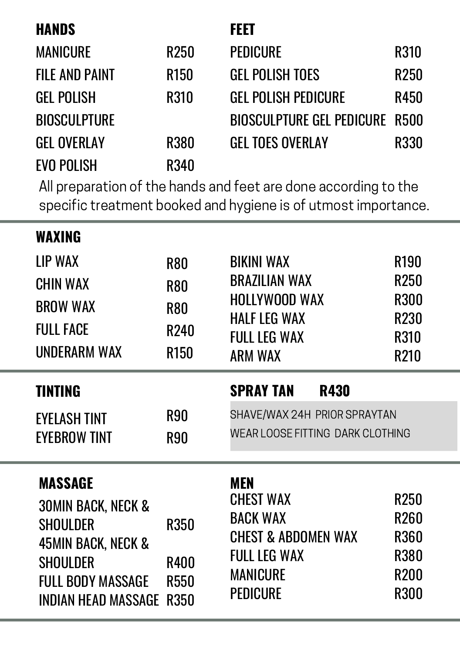| <b>HANDS</b>          |             | <b>FFFT</b>                           |             |
|-----------------------|-------------|---------------------------------------|-------------|
| <b>MANICURE</b>       | R250        | PEDICURE                              | R310        |
| <b>FILE AND PAINT</b> | <b>R150</b> | GEL POLISH TOES                       | R250        |
| <b>GEL POLISH</b>     | R310        | <b>GEL POLISH PEDICURE</b>            | R450        |
| <b>BIOSCULPTURE</b>   |             | <b>BIOSCULPTURE GEL PEDICURE R500</b> |             |
| <b>GEI OVERLAY</b>    | <b>R380</b> | GEL TOES OVERLAY                      | <b>R330</b> |
| <b>EVO POLISH</b>     | R340        |                                       |             |

EVO POLISH All preparation of the hands and feet are done according to the R340 specific treatment booked and hygiene is of utmost importance.

| WAXING<br><b>IIP WAX</b><br>CHIN WAX<br><b>BROW WAX</b><br><b>FULL FACE</b><br><b>UNDERARM WAX</b>                                            | <b>R80</b><br><b>R80</b><br><b>R80</b><br>R240<br><b>R150</b> | <b>BIKINI WAX</b><br><b>BRAZILIAN WAX</b><br>HOLLYWOOD WAX<br>HALF LFG WAX<br><b>FULL LEG WAX</b><br><b>ARM WAX</b>            | R190<br>R <sub>250</sub><br><b>R300</b><br>R230<br>R310<br>R210                      |
|-----------------------------------------------------------------------------------------------------------------------------------------------|---------------------------------------------------------------|--------------------------------------------------------------------------------------------------------------------------------|--------------------------------------------------------------------------------------|
| <b>TINTING</b><br><b>FYFI ASH TINT</b><br><b>FYFRROW TINT</b>                                                                                 | <b>R90</b><br><b>R90</b>                                      | <b>SPRAY TAN</b><br>R430<br>SHAVE/WAX 24H PRIOR SPRAYTAN<br>WEAR LOOSE FITTING DARK CLOTHING                                   |                                                                                      |
| MASSAGE<br><b>30MIN BACK, NECK &amp;</b><br>SHOULDER<br><b>45MIN BACK, NECK &amp;</b><br>SHOULDER<br>FULL BODY MASSAGE<br>INDIAN HEAD MASSAGE | <b>R350</b><br><b>R400</b><br><b>R550</b><br><b>R350</b>      | <b>MEN</b><br><b>CHEST WAX</b><br><b>BACK WAX</b><br>CHEST & ARDOMEN WAX<br><b>FULL LEG WAX</b><br><b>MANICURE</b><br>PEDICURE | R <sub>250</sub><br><b>R260</b><br><b>R360</b><br>R380<br><b>R200</b><br><b>R300</b> |